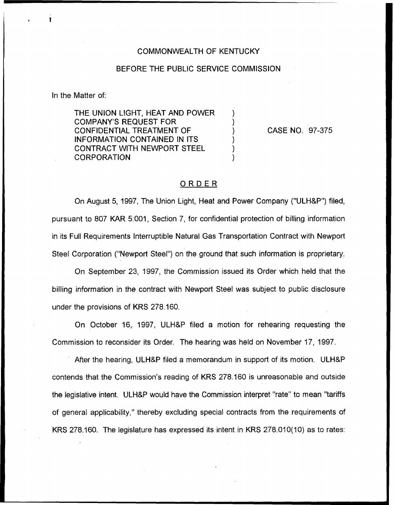## COMMONWEALTH OF KENTUCKY

## BEFORE THE PUBLIC SERVICE COMMISSION

In the Matter of:

THE UNION LIGHT, HEAT AND POWER COMPANY'S REQUEST FOR CONFIDENTIAL TREATMENT OF INFORMATION CONTAINED IN ITS CONTRACT WITH NEWPORT STEEL **CORPORATION** 

CASE NO. 97-375

## ORDER

On August 5, 1997, The Union Light, Heat and Power Company ("ULH&P") filed, pursuant to 807 KAR 5:001, Section 7, for confidential protection of billing information in its Full Requirements Interruptible Natural Gas Transportation Contract with Newport Steel Corporation ("Newport Steel") on the ground that such information is proprietary.

On September 23, 1997, the Commission issued its Order which held that the billing information in the contract with Newport Steel was subject to public disclosure under the provisions of KRS 278.160.

On October 16, 1997, ULHBP filed a motion for rehearing requesting the Commission to reconsider its Order. The hearing was held on November 17, 1997.

After the hearing, ULH&P filed a memorandum in support of its motion. ULH&P contends that the Commission's reading of KRS 278.160 is unreasonable and outside the legislative intent. ULH&P would have the Commission interpret "rate" to mean "tariffs of general applicability," thereby excluding special contracts from the requirements of KRS 278.160. The legislature has expressed its intent in KRS 278.010(10) as to rates: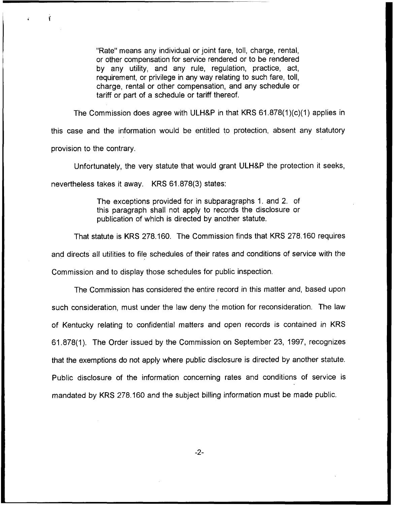"Rate" means any individual or joint fare, toll, charge, rental, or other compensation for service rendered or to be rendered by any utility, and any rule, regulation, practice, act, requirement, or privilege in any way relating to such fare, toll, charge, rental or other compensation, and any schedule or tariff or part of a schedule or tariff thereof.

The Commission does agree with ULH&P in that KRS  $61.878(1)(c)(1)$  applies in this case and the information would be entitled to protection, absent any statutory provision to the contrary.

Unfortunately, the very statute that would grant ULHKP the protection it seeks,

nevertheless takes it away. KRS 61.878(3) states:

The exceptions provided for in subparagraphs 1. and 2. of this paragraph shall not apply to records the disclosure or publication of which is directed by another statute.

That statute is KRS 278.160. The Commission finds that KRS 278.160 requires and directs all utilities to file schedules of their rates and conditions of service with the Commission and to display those schedules for public inspection.

The Commission has considered the entire record in this matter and, based upon such consideration, must under the law deny the motion for reconsideration. The law of Kentucky relating to confidential matters and open records is contained in KRS 61.878(1). The Order issued by the Commission on September 23, 1997, recognizes that the exemptions do not apply where public disclosure is directed by another statute. Public disclosure of the information concerning rates and conditions of service is mandated by KRS 278.160 and the subject billing information must be made public.